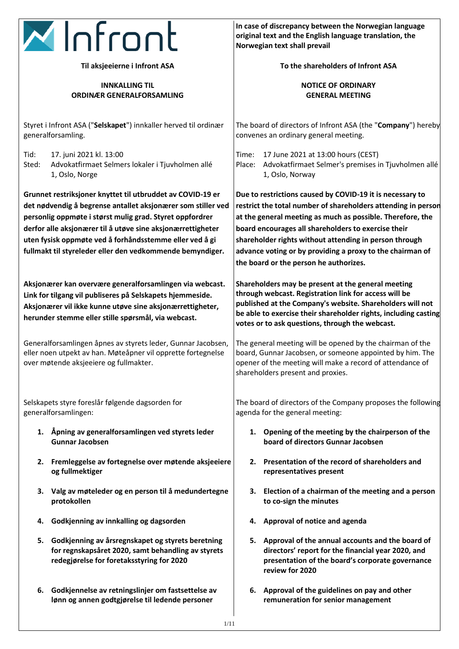

**Til aksjeeierne i Infront ASA**

### **INNKALLING TIL ORDINÆR GENERALFORSAMLING**

Styret i Infront ASA ("**Selskapet**") innkaller herved til ordinær generalforsamling.

Tid: 17. juni 2021 kl. 13:00 Sted: Advokatfirmaet Selmers lokaler i Tjuvholmen allé 1, Oslo, Norge

**Grunnet restriksjoner knyttet til utbruddet av COVID-19 er det nødvendig å begrense antallet aksjonærer som stiller ved personlig oppmøte i størst mulig grad. Styret oppfordrer derfor alle aksjonærer til å utøve sine aksjonærrettigheter uten fysisk oppmøte ved å forhåndsstemme eller ved å gi fullmakt til styreleder eller den vedkommende bemyndiger.** 

**Aksjonærer kan overvære generalforsamlingen via webcast. Link for tilgang vil publiseres på Selskapets hjemmeside. Aksjonærer vil ikke kunne utøve sine aksjonærrettigheter, herunder stemme eller stille spørsmål, via webcast.**

Generalforsamlingen åpnes av styrets leder, Gunnar Jacobsen, eller noen utpekt av han. Møteåpner vil opprette fortegnelse over møtende aksjeeiere og fullmakter.

Selskapets styre foreslår følgende dagsorden for generalforsamlingen:

- **1. Åpning av generalforsamlingen ved styrets leder Gunnar Jacobsen**
- **2. Fremleggelse av fortegnelse over møtende aksjeeiere og fullmektiger**
- **3. Valg av møteleder og en person til å medundertegne protokollen**
- **4. Godkjenning av innkalling og dagsorden**
- **5. Godkjenning av årsregnskapet og styrets beretning for regnskapsåret 2020, samt behandling av styrets redegjørelse for foretaksstyring for 2020**
- **6. Godkjennelse av retningslinjer om fastsettelse av lønn og annen godtgjørelse til ledende personer**

**In case of discrepancy between the Norwegian language original text and the English language translation, the Norwegian text shall prevail**

**To the shareholders of Infront ASA**

## **NOTICE OF ORDINARY GENERAL MEETING**

The board of directors of Infront ASA (the "**Company**") hereby convenes an ordinary general meeting.

Time: 17 June 2021 at 13:00 hours (CEST) Place: Advokatfirmaet Selmer's premises in Tjuvholmen allé 1, Oslo, Norway

**Due to restrictions caused by COVID-19 it is necessary to restrict the total number of shareholders attending in person at the general meeting as much as possible. Therefore, the board encourages all shareholders to exercise their shareholder rights without attending in person through advance voting or by providing a proxy to the chairman of the board or the person he authorizes.** 

**Shareholders may be present at the general meeting through webcast. Registration link for access will be published at the Company's website. Shareholders will not be able to exercise their shareholder rights, including casting votes or to ask questions, through the webcast.**

The general meeting will be opened by the chairman of the board, Gunnar Jacobsen, or someone appointed by him. The opener of the meeting will make a record of attendance of shareholders present and proxies.

The board of directors of the Company proposes the following agenda for the general meeting:

- **1. Opening of the meeting by the chairperson of the board of directors Gunnar Jacobsen**
- **2. Presentation of the record of shareholders and representatives present**
- **3. Election of a chairman of the meeting and a person to co-sign the minutes**
- **4. Approval of notice and agenda**
- **5. Approval of the annual accounts and the board of directors' report for the financial year 2020, and presentation of the board's corporate governance review for 2020**
- **6. Approval of the guidelines on pay and other remuneration for senior management**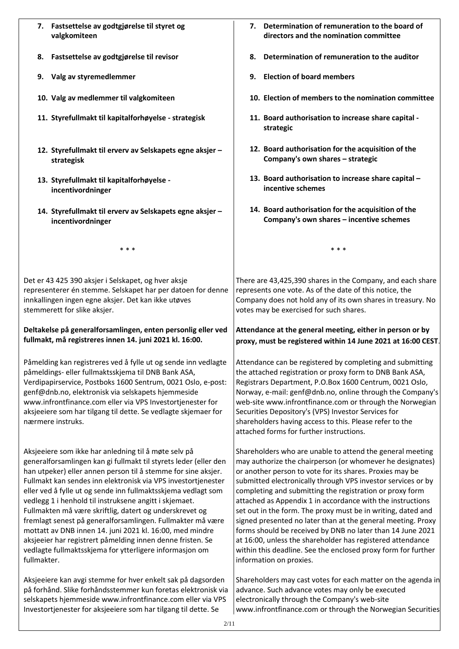- **7. Fastsettelse av godtgjørelse til styret og valgkomiteen**
- **8. Fastsettelse av godtgjørelse til revisor**
- **9. Valg av styremedlemmer**
- **10. Valg av medlemmer til valgkomiteen**
- **11. Styrefullmakt til kapitalforhøyelse - strategisk**
- **12. Styrefullmakt til erverv av Selskapets egne aksjer – strategisk**
- **13. Styrefullmakt til kapitalforhøyelse incentivordninger**
- **14. Styrefullmakt til erverv av Selskapets egne aksjer – incentivordninger**

\* \* \*

Det er 43 425 390 aksjer i Selskapet, og hver aksje representerer én stemme. Selskapet har per datoen for denne innkallingen ingen egne aksjer. Det kan ikke utøves stemmerett for slike aksjer.

### **Deltakelse på generalforsamlingen, enten personlig eller ved fullmakt, må registreres innen 14. juni 2021 kl. 16:00.**

Påmelding kan registreres ved å fylle ut og sende inn vedlagte påmeldings- eller fullmaktsskjema til DNB Bank ASA, Verdipapirservice, Postboks 1600 Sentrum, 0021 Oslo, e-post: genf@dnb.no, elektronisk via selskapets hjemmeside www.infrontfinance.com eller via VPS Investortjenester for aksjeeiere som har tilgang til dette. Se vedlagte skjemaer for nærmere instruks.

Aksjeeiere som ikke har anledning til å møte selv på generalforsamlingen kan gi fullmakt til styrets leder (eller den han utpeker) eller annen person til å stemme for sine aksjer. Fullmakt kan sendes inn elektronisk via VPS investortjenester eller ved å fylle ut og sende inn fullmaktsskjema vedlagt som vedlegg 1 i henhold til instruksene angitt i skjemaet. Fullmakten må være skriftlig, datert og underskrevet og fremlagt senest på generalforsamlingen. Fullmakter må være mottatt av DNB innen 14. juni 2021 kl. 16:00, med mindre aksjeeier har registrert påmelding innen denne fristen. Se vedlagte fullmaktsskjema for ytterligere informasjon om fullmakter.

Aksjeeiere kan avgi stemme for hver enkelt sak på dagsorden på forhånd. Slike forhåndsstemmer kun foretas elektronisk via selskapets hjemmeside www.infrontfinance.com eller via VPS Investortjenester for aksjeeiere som har tilgang til dette. Se

- **7. Determination of remuneration to the board of directors and the nomination committee**
- **8. Determination of remuneration to the auditor**
- **9. Election of board members**
- **10. Election of members to the nomination committee**
- **11. Board authorisation to increase share capital strategic**
- **12. Board authorisation for the acquisition of the Company's own shares – strategic**
- **13. Board authorisation to increase share capital – incentive schemes**
- **14. Board authorisation for the acquisition of the Company's own shares – incentive schemes**

There are 43,425,390 shares in the Company, and each share represents one vote. As of the date of this notice, the Company does not hold any of its own shares in treasury. No votes may be exercised for such shares.

\* \* \*

# **Attendance at the general meeting, either in person or by proxy, must be registered within 14 June 2021 at 16:00 CEST**.

Attendance can be registered by completing and submitting the attached registration or proxy form to DNB Bank ASA, Registrars Department, P.O.Box 1600 Centrum, 0021 Oslo, Norway, e-mail: genf@dnb.no, online through the Company's web-site www.infrontfinance.com or through the Norwegian Securities Depository's (VPS) Investor Services for shareholders having access to this. Please refer to the attached forms for further instructions.

Shareholders who are unable to attend the general meeting may authorize the chairperson (or whomever he designates) or another person to vote for its shares. Proxies may be submitted electronically through VPS investor services or by completing and submitting the registration or proxy form attached as Appendix 1 in accordance with the instructions set out in the form. The proxy must be in writing, dated and signed presented no later than at the general meeting. Proxy forms should be received by DNB no later than 14 June 2021 at 16:00, unless the shareholder has registered attendance within this deadline. See the enclosed proxy form for further information on proxies.

Shareholders may cast votes for each matter on the agenda in advance. Such advance votes may only be executed electronically through the Company's web-site www.infrontfinance.com or through the Norwegian Securities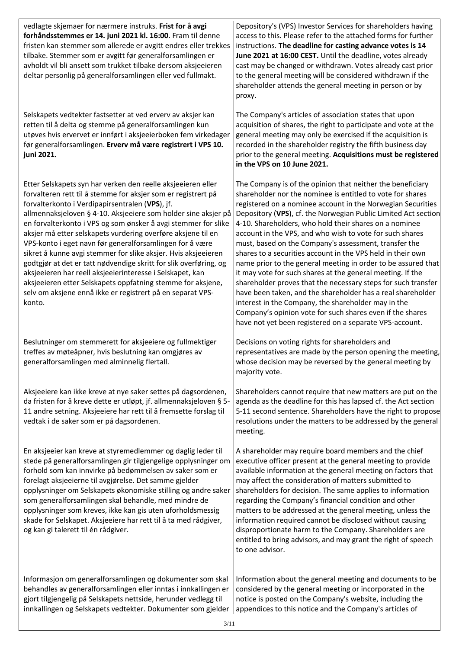vedlagte skjemaer for nærmere instruks. **Frist for å avgi forhåndsstemmes er 14. juni 2021 kl. 16:00**. Fram til denne fristen kan stemmer som allerede er avgitt endres eller trekkes tilbake. Stemmer som er avgitt før generalforsamlingen er avholdt vil bli ansett som trukket tilbake dersom aksjeeieren deltar personlig på generalforsamlingen eller ved fullmakt.

Selskapets vedtekter fastsetter at ved erverv av aksjer kan retten til å delta og stemme på generalforsamlingen kun utøves hvis ervervet er innført i aksjeeierboken fem virkedager før generalforsamlingen. **Erverv må være registrert i VPS 10. juni 2021.**

Etter Selskapets syn har verken den reelle aksjeeieren eller forvalteren rett til å stemme for aksjer som er registrert på forvalterkonto i Verdipapirsentralen (**VPS**), jf. allmennaksjeloven § 4-10. Aksjeeiere som holder sine aksjer på en forvalterkonto i VPS og som ønsker å avgi stemmer for slike aksjer må etter selskapets vurdering overføre aksjene til en VPS-konto i eget navn før generalforsamlingen for å være sikret å kunne avgi stemmer for slike aksjer. Hvis aksjeeieren godtgjør at det er tatt nødvendige skritt for slik overføring, og aksjeeieren har reell aksjeeierinteresse i Selskapet, kan aksjeeieren etter Selskapets oppfatning stemme for aksjene, selv om aksjene ennå ikke er registrert på en separat VPSkonto.

Beslutninger om stemmerett for aksjeeiere og fullmektiger treffes av møteåpner, hvis beslutning kan omgjøres av generalforsamlingen med alminnelig flertall.

Aksjeeiere kan ikke kreve at nye saker settes på dagsordenen, da fristen for å kreve dette er utløpt, jf. allmennaksjeloven § 5- 11 andre setning. Aksjeeiere har rett til å fremsette forslag til vedtak i de saker som er på dagsordenen.

En aksjeeier kan kreve at styremedlemmer og daglig leder til stede på generalforsamlingen gir tilgjengelige opplysninger om forhold som kan innvirke på bedømmelsen av saker som er forelagt aksjeeierne til avgjørelse. Det samme gjelder opplysninger om Selskapets økonomiske stilling og andre saker som generalforsamlingen skal behandle, med mindre de opplysninger som kreves, ikke kan gis uten uforholdsmessig skade for Selskapet. Aksjeeiere har rett til å ta med rådgiver, og kan gi talerett til én rådgiver.

Informasjon om generalforsamlingen og dokumenter som skal behandles av generalforsamlingen eller inntas i innkallingen er gjort tilgjengelig på Selskapets nettside, herunder vedlegg til innkallingen og Selskapets vedtekter. Dokumenter som gjelder |appendices to this notice and the Company's articles of

Depository's (VPS) Investor Services for shareholders having access to this. Please refer to the attached forms for further instructions. **The deadline for casting advance votes is 14 June 2021 at 16:00 CEST.** Until the deadline, votes already cast may be changed or withdrawn. Votes already cast prior to the general meeting will be considered withdrawn if the shareholder attends the general meeting in person or by proxy.

The Company's articles of association states that upon acquisition of shares, the right to participate and vote at the general meeting may only be exercised if the acquisition is recorded in the shareholder registry the fifth business day prior to the general meeting. **Acquisitions must be registered in the VPS on 10 June 2021.** 

The Company is of the opinion that neither the beneficiary shareholder nor the nominee is entitled to vote for shares registered on a nominee account in the Norwegian Securities Depository (**VPS**), cf. the Norwegian Public Limited Act section 4-10. Shareholders, who hold their shares on a nominee account in the VPS, and who wish to vote for such shares must, based on the Company's assessment, transfer the shares to a securities account in the VPS held in their own name prior to the general meeting in order to be assured that it may vote for such shares at the general meeting. If the shareholder proves that the necessary steps for such transfer have been taken, and the shareholder has a real shareholder interest in the Company, the shareholder may in the Company's opinion vote for such shares even if the shares have not yet been registered on a separate VPS-account.

Decisions on voting rights for shareholders and representatives are made by the person opening the meeting, whose decision may be reversed by the general meeting by majority vote.

Shareholders cannot require that new matters are put on the agenda as the deadline for this has lapsed cf. the Act section 5-11 second sentence. Shareholders have the right to propose resolutions under the matters to be addressed by the general meeting.

A shareholder may require board members and the chief executive officer present at the general meeting to provide available information at the general meeting on factors that may affect the consideration of matters submitted to shareholders for decision. The same applies to information regarding the Company's financial condition and other matters to be addressed at the general meeting, unless the information required cannot be disclosed without causing disproportionate harm to the Company. Shareholders are entitled to bring advisors, and may grant the right of speech to one advisor.

Information about the general meeting and documents to be considered by the general meeting or incorporated in the notice is posted on the Company's website, including the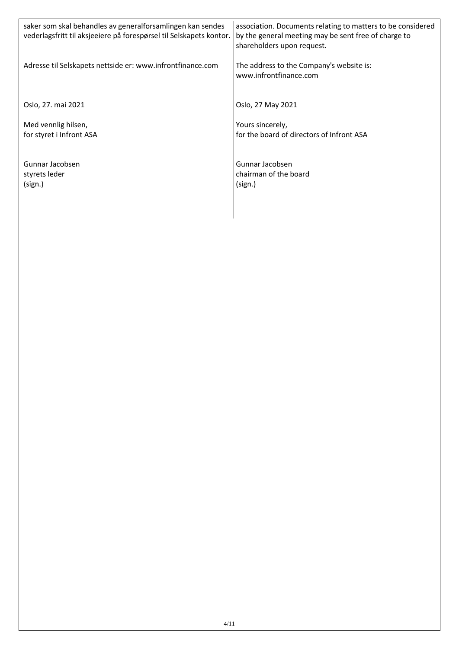| saker som skal behandles av generalforsamlingen kan sendes<br>vederlagsfritt til aksjeeiere på forespørsel til Selskapets kontor. | association. Documents relating to matters to be considered<br>by the general meeting may be sent free of charge to<br>shareholders upon request. |
|-----------------------------------------------------------------------------------------------------------------------------------|---------------------------------------------------------------------------------------------------------------------------------------------------|
| Adresse til Selskapets nettside er: www.infrontfinance.com                                                                        | The address to the Company's website is:<br>www.infrontfinance.com                                                                                |
| Oslo, 27. mai 2021                                                                                                                | Oslo, 27 May 2021                                                                                                                                 |
| Med vennlig hilsen,<br>for styret i Infront ASA                                                                                   | Yours sincerely,<br>for the board of directors of Infront ASA                                                                                     |
| Gunnar Jacobsen<br>styrets leder<br>(sign.)                                                                                       | Gunnar Jacobsen<br>chairman of the board<br>(sign.)                                                                                               |

 $\overline{\phantom{a}}$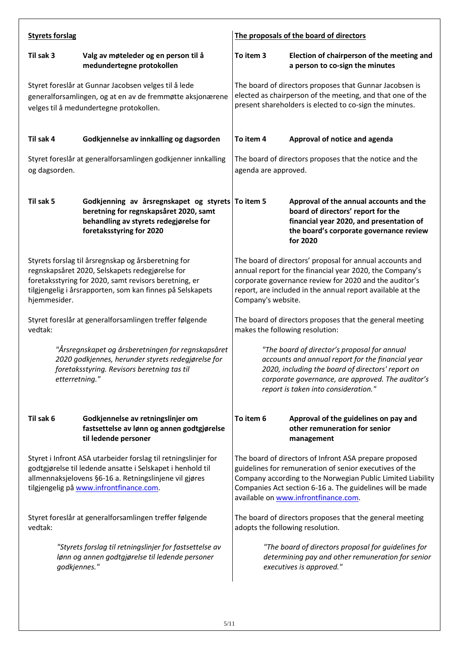| <b>Styrets forslag</b>                                                                                                                                                                                                                       |                                                                                                                                                                   | The proposals of the board of directors                                                                                                                                                                                                                                               |                                                                                                                                                                                  |  |
|----------------------------------------------------------------------------------------------------------------------------------------------------------------------------------------------------------------------------------------------|-------------------------------------------------------------------------------------------------------------------------------------------------------------------|---------------------------------------------------------------------------------------------------------------------------------------------------------------------------------------------------------------------------------------------------------------------------------------|----------------------------------------------------------------------------------------------------------------------------------------------------------------------------------|--|
| Til sak 3                                                                                                                                                                                                                                    | Valg av møteleder og en person til å<br>medundertegne protokollen                                                                                                 | To item 3<br>Election of chairperson of the meeting and<br>a person to co-sign the minutes                                                                                                                                                                                            |                                                                                                                                                                                  |  |
| Styret foreslår at Gunnar Jacobsen velges til å lede<br>generalforsamlingen, og at en av de fremmøtte aksjonærene<br>velges til å medundertegne protokollen.                                                                                 |                                                                                                                                                                   | The board of directors proposes that Gunnar Jacobsen is<br>elected as chairperson of the meeting, and that one of the<br>present shareholders is elected to co-sign the minutes.                                                                                                      |                                                                                                                                                                                  |  |
| Til sak 4                                                                                                                                                                                                                                    | Godkjennelse av innkalling og dagsorden                                                                                                                           | To item 4                                                                                                                                                                                                                                                                             | Approval of notice and agenda                                                                                                                                                    |  |
| Styret foreslår at generalforsamlingen godkjenner innkalling<br>og dagsorden.                                                                                                                                                                |                                                                                                                                                                   | The board of directors proposes that the notice and the<br>agenda are approved.                                                                                                                                                                                                       |                                                                                                                                                                                  |  |
| Til sak 5                                                                                                                                                                                                                                    | Godkjenning av årsregnskapet og styrets To item 5<br>beretning for regnskapsåret 2020, samt<br>behandling av styrets redegjørelse for<br>foretaksstyring for 2020 |                                                                                                                                                                                                                                                                                       | Approval of the annual accounts and the<br>board of directors' report for the<br>financial year 2020, and presentation of<br>the board's corporate governance review<br>for 2020 |  |
| Styrets forslag til årsregnskap og årsberetning for<br>regnskapsåret 2020, Selskapets redegjørelse for<br>foretaksstyring for 2020, samt revisors beretning, er<br>tilgjengelig i årsrapporten, som kan finnes på Selskapets<br>hjemmesider. |                                                                                                                                                                   | The board of directors' proposal for annual accounts and<br>annual report for the financial year 2020, the Company's<br>corporate governance review for 2020 and the auditor's<br>report, are included in the annual report available at the<br>Company's website.                    |                                                                                                                                                                                  |  |
| Styret foreslår at generalforsamlingen treffer følgende<br>vedtak:                                                                                                                                                                           |                                                                                                                                                                   | The board of directors proposes that the general meeting<br>makes the following resolution:                                                                                                                                                                                           |                                                                                                                                                                                  |  |
| "Årsregnskapet og årsberetningen for regnskapsåret<br>2020 godkjennes, herunder styrets redegjørelse for<br>foretaksstyring. Revisors beretning tas til<br>etterretning."                                                                    |                                                                                                                                                                   | "The board of director's proposal for annual<br>accounts and annual report for the financial year<br>2020, including the board of directors' report on<br>corporate governance, are approved. The auditor's<br>report is taken into consideration."                                   |                                                                                                                                                                                  |  |
| Til sak 6                                                                                                                                                                                                                                    | Godkjennelse av retningslinjer om<br>fastsettelse av lønn og annen godtgjørelse<br>til ledende personer                                                           | To item 6                                                                                                                                                                                                                                                                             | Approval of the guidelines on pay and<br>other remuneration for senior<br>management                                                                                             |  |
| Styret i Infront ASA utarbeider forslag til retningslinjer for<br>godtgjørelse til ledende ansatte i Selskapet i henhold til<br>allmennaksjelovens §6-16 a. Retningslinjene vil gjøres<br>tilgjengelig på www.infrontfinance.com.            |                                                                                                                                                                   | The board of directors of Infront ASA prepare proposed<br>guidelines for remuneration of senior executives of the<br>Company according to the Norwegian Public Limited Liability<br>Companies Act section 6-16 a. The guidelines will be made<br>available on www.infrontfinance.com. |                                                                                                                                                                                  |  |
| Styret foreslår at generalforsamlingen treffer følgende<br>vedtak:                                                                                                                                                                           |                                                                                                                                                                   |                                                                                                                                                                                                                                                                                       | The board of directors proposes that the general meeting<br>adopts the following resolution.                                                                                     |  |
| godkjennes."                                                                                                                                                                                                                                 | "Styrets forslag til retningslinjer for fastsettelse av<br>lønn og annen godtgjørelse til ledende personer                                                        |                                                                                                                                                                                                                                                                                       | "The board of directors proposal for guidelines for<br>determining pay and other remuneration for senior<br>executives is approved."                                             |  |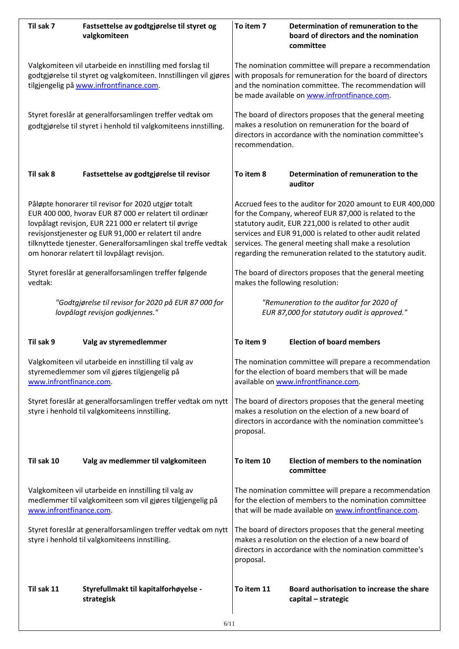| Til sak 7                                                                                                                                     | Fastsettelse av godtgjørelse til styret og<br>valgkomiteen                                                                                                                                                                                                                                                                                         | To item 7                                                                                                                                                                                                                                                                                                                                                         | Determination of remuneration to the<br>board of directors and the nomination<br>committee                                                            |  |  |
|-----------------------------------------------------------------------------------------------------------------------------------------------|----------------------------------------------------------------------------------------------------------------------------------------------------------------------------------------------------------------------------------------------------------------------------------------------------------------------------------------------------|-------------------------------------------------------------------------------------------------------------------------------------------------------------------------------------------------------------------------------------------------------------------------------------------------------------------------------------------------------------------|-------------------------------------------------------------------------------------------------------------------------------------------------------|--|--|
|                                                                                                                                               | Valgkomiteen vil utarbeide en innstilling med forslag til<br>godtgjørelse til styret og valgkomiteen. Innstillingen vil gjøres<br>tilgjengelig på www.infrontfinance.com.                                                                                                                                                                          | The nomination committee will prepare a recommendation<br>with proposals for remuneration for the board of directors<br>and the nomination committee. The recommendation will<br>be made available on www.infrontfinance.com.                                                                                                                                     |                                                                                                                                                       |  |  |
|                                                                                                                                               | Styret foreslår at generalforsamlingen treffer vedtak om<br>godtgjørelse til styret i henhold til valgkomiteens innstilling.                                                                                                                                                                                                                       | The board of directors proposes that the general meeting<br>makes a resolution on remuneration for the board of<br>directors in accordance with the nomination committee's<br>recommendation.                                                                                                                                                                     |                                                                                                                                                       |  |  |
| Til sak 8                                                                                                                                     | Fastsettelse av godtgjørelse til revisor                                                                                                                                                                                                                                                                                                           | To item 8                                                                                                                                                                                                                                                                                                                                                         | Determination of remuneration to the<br>auditor                                                                                                       |  |  |
|                                                                                                                                               | Påløpte honorarer til revisor for 2020 utgjør totalt<br>EUR 400 000, hvorav EUR 87 000 er relatert til ordinær<br>lovpålagt revisjon, EUR 221 000 er relatert til øvrige<br>revisjonstjenester og EUR 91,000 er relatert til andre<br>tilknyttede tjenester. Generalforsamlingen skal treffe vedtak<br>om honorar relatert til lovpålagt revisjon. | Accrued fees to the auditor for 2020 amount to EUR 400,000<br>for the Company, whereof EUR 87,000 is related to the<br>statutory audit, EUR 221,000 is related to other audit<br>services and EUR 91,000 is related to other audit related<br>services. The general meeting shall make a resolution<br>regarding the remuneration related to the statutory audit. |                                                                                                                                                       |  |  |
| vedtak:                                                                                                                                       | Styret foreslår at generalforsamlingen treffer følgende                                                                                                                                                                                                                                                                                            | The board of directors proposes that the general meeting<br>makes the following resolution:                                                                                                                                                                                                                                                                       |                                                                                                                                                       |  |  |
|                                                                                                                                               | "Godtgjørelse til revisor for 2020 på EUR 87 000 for<br>lovpålagt revisjon godkjennes."                                                                                                                                                                                                                                                            | "Remuneration to the auditor for 2020 of<br>EUR 87,000 for statutory audit is approved."                                                                                                                                                                                                                                                                          |                                                                                                                                                       |  |  |
| Til sak 9                                                                                                                                     | Valg av styremedlemmer                                                                                                                                                                                                                                                                                                                             | To item 9                                                                                                                                                                                                                                                                                                                                                         | <b>Election of board members</b>                                                                                                                      |  |  |
| www.infrontfinance.com.                                                                                                                       | Valgkomiteen vil utarbeide en innstilling til valg av<br>styremedlemmer som vil gjøres tilgjengelig på                                                                                                                                                                                                                                             |                                                                                                                                                                                                                                                                                                                                                                   | The nomination committee will prepare a recommendation<br>for the election of board members that will be made<br>available on www.infrontfinance.com. |  |  |
|                                                                                                                                               | Styret foreslår at generalforsamlingen treffer vedtak om nytt<br>styre i henhold til valgkomiteens innstilling.                                                                                                                                                                                                                                    | The board of directors proposes that the general meeting<br>makes a resolution on the election of a new board of<br>directors in accordance with the nomination committee's<br>proposal.                                                                                                                                                                          |                                                                                                                                                       |  |  |
| Til sak 10                                                                                                                                    | Valg av medlemmer til valgkomiteen                                                                                                                                                                                                                                                                                                                 | To item 10                                                                                                                                                                                                                                                                                                                                                        | Election of members to the nomination<br>committee                                                                                                    |  |  |
| Valgkomiteen vil utarbeide en innstilling til valg av<br>medlemmer til valgkomiteen som vil gjøres tilgjengelig på<br>www.infrontfinance.com. |                                                                                                                                                                                                                                                                                                                                                    | The nomination committee will prepare a recommendation<br>for the election of members to the nomination committee<br>that will be made available on www.infrontfinance.com.                                                                                                                                                                                       |                                                                                                                                                       |  |  |
| Styret foreslår at generalforsamlingen treffer vedtak om nytt<br>styre i henhold til valgkomiteens innstilling.                               |                                                                                                                                                                                                                                                                                                                                                    | The board of directors proposes that the general meeting<br>makes a resolution on the election of a new board of<br>directors in accordance with the nomination committee's<br>proposal.                                                                                                                                                                          |                                                                                                                                                       |  |  |
| Til sak 11                                                                                                                                    | Styrefullmakt til kapitalforhøyelse -<br>strategisk                                                                                                                                                                                                                                                                                                | To item 11                                                                                                                                                                                                                                                                                                                                                        | Board authorisation to increase the share<br>capital - strategic                                                                                      |  |  |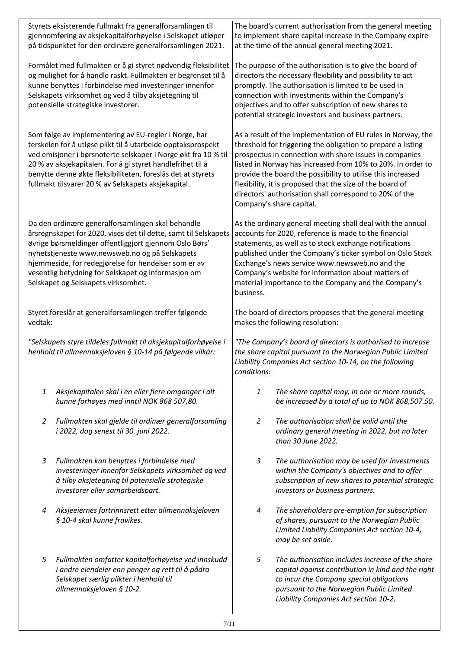|                                                                                                                               | Styrets eksisterende fullmakt fra generalforsamlingen til<br>gjennomføring av aksjekapitalforhøyelse i Selskapet utløper<br>på tidspunktet for den ordinære generalforsamlingen 2021.                                                                                                                                                                                                   | The board's current authorisation from the general meeting<br>to implement share capital increase in the Company expire<br>at the time of the annual general meeting 2021.                                                                                                                                                                                                                                                                                                |                                                                                                                                                                                                                                         |  |  |
|-------------------------------------------------------------------------------------------------------------------------------|-----------------------------------------------------------------------------------------------------------------------------------------------------------------------------------------------------------------------------------------------------------------------------------------------------------------------------------------------------------------------------------------|---------------------------------------------------------------------------------------------------------------------------------------------------------------------------------------------------------------------------------------------------------------------------------------------------------------------------------------------------------------------------------------------------------------------------------------------------------------------------|-----------------------------------------------------------------------------------------------------------------------------------------------------------------------------------------------------------------------------------------|--|--|
|                                                                                                                               | Formålet med fullmakten er å gi styret nødvendig fleksibilitet<br>og mulighet for å handle raskt. Fullmakten er begrenset til å<br>kunne benyttes i forbindelse med investeringer innenfor<br>Selskapets virksomhet og ved å tilby aksjetegning til<br>potensielle strategiske investorer.                                                                                              | The purpose of the authorisation is to give the board of<br>directors the necessary flexibility and possibility to act<br>promptly. The authorisation is limited to be used in<br>connection with investments within the Company's<br>objectives and to offer subscription of new shares to<br>potential strategic investors and business partners.                                                                                                                       |                                                                                                                                                                                                                                         |  |  |
|                                                                                                                               | Som følge av implementering av EU-regler i Norge, har<br>terskelen for å utløse plikt til å utarbeide opptaksprospekt<br>ved emisjoner i børsnoterte selskaper i Norge økt fra 10 % til<br>20 % av aksjekapitalen. For å gi styret handlefrihet til å<br>benytte denne økte fleksibiliteten, foreslås det at styrets<br>fullmakt tilsvarer 20 % av Selskapets aksjekapital.             | As a result of the implementation of EU rules in Norway, the<br>threshold for triggering the obligation to prepare a listing<br>prospectus in connection with share issues in companies<br>listed in Norway has increased from 10% to 20%. In order to<br>provide the board the possibility to utilise this increased<br>flexibility, it is proposed that the size of the board of<br>directors' authorisation shall correspond to 20% of the<br>Company's share capital. |                                                                                                                                                                                                                                         |  |  |
|                                                                                                                               | Da den ordinære generalforsamlingen skal behandle<br>årsregnskapet for 2020, vises det til dette, samt til Selskapets<br>øvrige børsmeldinger offentliggjort gjennom Oslo Børs'<br>nyhetstjeneste www.newsweb.no og på Selskapets<br>hjemmeside, for redegjørelse for hendelser som er av<br>vesentlig betydning for Selskapet og informasjon om<br>Selskapet og Selskapets virksomhet. | As the ordinary general meeting shall deal with the annual<br>accounts for 2020, reference is made to the financial<br>statements, as well as to stock exchange notifications<br>published under the Company's ticker symbol on Oslo Stock<br>Exchange's news service www.newsweb.no and the<br>Company's website for information about matters of<br>material importance to the Company and the Company's<br>business.                                                   |                                                                                                                                                                                                                                         |  |  |
| Styret foreslår at generalforsamlingen treffer følgende<br>vedtak:                                                            |                                                                                                                                                                                                                                                                                                                                                                                         | The board of directors proposes that the general meeting<br>makes the following resolution:                                                                                                                                                                                                                                                                                                                                                                               |                                                                                                                                                                                                                                         |  |  |
| "Selskapets styre tildeles fullmakt til aksjekapitalforhøyelse i<br>henhold til allmennaksjeloven § 10-14 på følgende vilkår: |                                                                                                                                                                                                                                                                                                                                                                                         | "The Company's board of directors is authorised to increase<br>the share capital pursuant to the Norwegian Public Limited<br>Liability Companies Act section 10-14, on the following<br>conditions:                                                                                                                                                                                                                                                                       |                                                                                                                                                                                                                                         |  |  |
| 1                                                                                                                             | Aksjekapitalen skal i en eller flere omganger i alt<br>kunne forhøyes med inntil NOK 868 507,80.                                                                                                                                                                                                                                                                                        | 1                                                                                                                                                                                                                                                                                                                                                                                                                                                                         | The share capital may, in one or more rounds,<br>be increased by a total of up to NOK 868,507.50.                                                                                                                                       |  |  |
| 2                                                                                                                             | Fullmakten skal gjelde til ordinær generalforsamling<br>i 2022, dog senest til 30. juni 2022.                                                                                                                                                                                                                                                                                           | $\overline{2}$                                                                                                                                                                                                                                                                                                                                                                                                                                                            | The authorisation shall be valid until the<br>ordinary general meeting in 2022, but no later<br>than 30 June 2022.                                                                                                                      |  |  |
| 3                                                                                                                             | Fullmakten kan benyttes i forbindelse med<br>investeringer innenfor Selskapets virksomhet og ved<br>å tilby aksjetegning til potensielle strategiske<br>investorer eller samarbeidspart.                                                                                                                                                                                                | 3                                                                                                                                                                                                                                                                                                                                                                                                                                                                         | The authorisation may be used for investments<br>within the Company's objectives and to offer<br>subscription of new shares to potential strategic<br>investors or business partners.                                                   |  |  |
| 4                                                                                                                             | Aksjeeiernes fortrinnsrett etter allmennaksjeloven<br>§ 10-4 skal kunne fravikes.                                                                                                                                                                                                                                                                                                       | 4                                                                                                                                                                                                                                                                                                                                                                                                                                                                         | The shareholders pre-emption for subscription<br>of shares, pursuant to the Norwegian Public<br>Limited Liability Companies Act section 10-4,<br>may be set aside.                                                                      |  |  |
| 5                                                                                                                             | Fullmakten omfatter kapitalforhøyelse ved innskudd<br>i andre eiendeler enn penger og rett til å pådra<br>Selskapet særlig plikter i henhold til<br>allmennaksjeloven § 10-2.                                                                                                                                                                                                           | 5                                                                                                                                                                                                                                                                                                                                                                                                                                                                         | The authorisation includes increase of the share<br>capital against contribution in kind and the right<br>to incur the Company special obligations<br>pursuant to the Norwegian Public Limited<br>Liability Companies Act section 10-2. |  |  |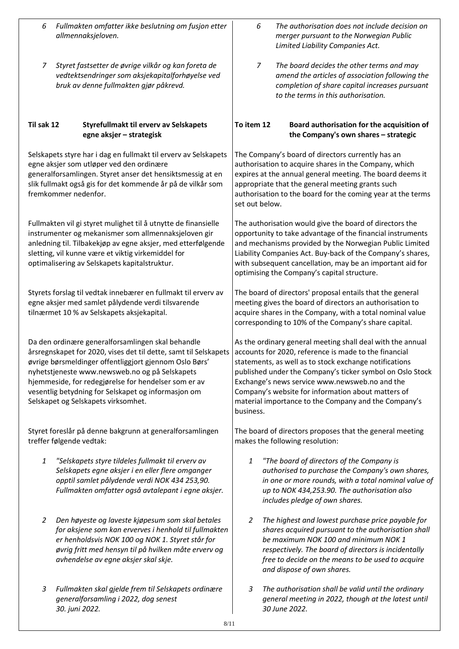| 6 | Fullmakten omfatter ikke beslutning om fusjon etter |
|---|-----------------------------------------------------|
|   | allmennaksjeloven.                                  |

*7 Styret fastsetter de øvrige vilkår og kan foreta de vedtektsendringer som aksjekapitalforhøyelse ved bruk av denne fullmakten gjør påkrevd.*

## **Til sak 12 Styrefullmakt til erverv av Selskapets egne aksjer – strategisk**

Selskapets styre har i dag en fullmakt til erverv av Selskapets egne aksjer som utløper ved den ordinære generalforsamlingen. Styret anser det hensiktsmessig at en slik fullmakt også gis for det kommende år på de vilkår som fremkommer nedenfor.

Fullmakten vil gi styret mulighet til å utnytte de finansielle instrumenter og mekanismer som allmennaksjeloven gir anledning til. Tilbakekjøp av egne aksjer, med etterfølgende sletting, vil kunne være et viktig virkemiddel for optimalisering av Selskapets kapitalstruktur.

Styrets forslag til vedtak innebærer en fullmakt til erverv av egne aksjer med samlet pålydende verdi tilsvarende tilnærmet 10 % av Selskapets aksjekapital.

Da den ordinære generalforsamlingen skal behandle årsregnskapet for 2020, vises det til dette, samt til Selskapets øvrige børsmeldinger offentliggjort gjennom Oslo Børs' nyhetstjeneste www.newsweb.no og på Selskapets hjemmeside, for redegjørelse for hendelser som er av vesentlig betydning for Selskapet og informasjon om Selskapet og Selskapets virksomhet.

Styret foreslår på denne bakgrunn at generalforsamlingen treffer følgende vedtak:

- *1 "Selskapets styre tildeles fullmakt til erverv av Selskapets egne aksjer i en eller flere omganger opptil samlet pålydende verdi NOK 434 253,90. Fullmakten omfatter også avtalepant i egne aksjer.*
- *2 Den høyeste og laveste kjøpesum som skal betales for aksjene som kan erverves i henhold til fullmakten er henholdsvis NOK 100 og NOK 1. Styret står for øvrig fritt med hensyn til på hvilken måte erverv og avhendelse av egne aksjer skal skje.*
- *3 Fullmakten skal gjelde frem til Selskapets ordinære generalforsamling i 2022, dog senest 30. juni 2022.*
- *6 The authorisation does not include decision on merger pursuant to the Norwegian Public Limited Liability Companies Act.*
- *7 The board decides the other terms and may amend the articles of association following the completion of share capital increases pursuant to the terms in this authorisation.*

# **To item 12 Board authorisation for the acquisition of the Company's own shares – strategic**

The Company's board of directors currently has an authorisation to acquire shares in the Company, which expires at the annual general meeting. The board deems it appropriate that the general meeting grants such authorisation to the board for the coming year at the terms set out below.

The authorisation would give the board of directors the opportunity to take advantage of the financial instruments and mechanisms provided by the Norwegian Public Limited Liability Companies Act. Buy-back of the Company's shares, with subsequent cancellation, may be an important aid for optimising the Company's capital structure.

The board of directors' proposal entails that the general meeting gives the board of directors an authorisation to acquire shares in the Company, with a total nominal value corresponding to 10% of the Company's share capital.

As the ordinary general meeting shall deal with the annual accounts for 2020, reference is made to the financial statements, as well as to stock exchange notifications published under the Company's ticker symbol on Oslo Stock Exchange's news service www.newsweb.no and the Company's website for information about matters of material importance to the Company and the Company's business.

The board of directors proposes that the general meeting makes the following resolution:

- *1 "The board of directors of the Company is authorised to purchase the Company's own shares, in one or more rounds, with a total nominal value of up to NOK 434,253.90. The authorisation also includes pledge of own shares.*
- *2 The highest and lowest purchase price payable for shares acquired pursuant to the authorisation shall be maximum NOK 100 and minimum NOK 1 respectively. The board of directors is incidentally free to decide on the means to be used to acquire and dispose of own shares.*
- *3 The authorisation shall be valid until the ordinary general meeting in 2022, though at the latest until 30 June 2022.*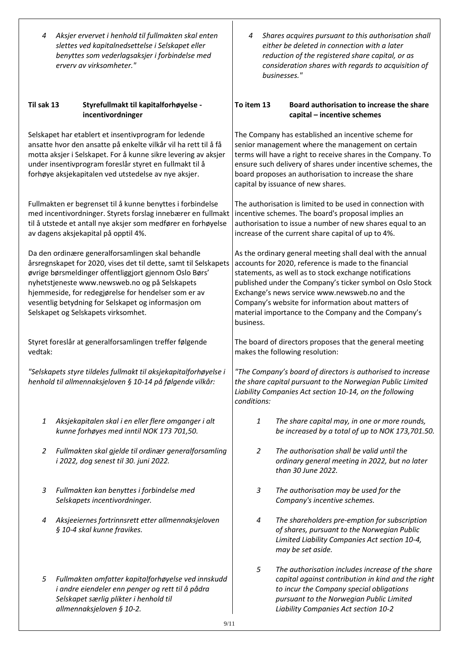*4 Aksjer ervervet i henhold til fullmakten skal enten slettes ved kapitalnedsettelse i Selskapet eller benyttes som vederlagsaksjer i forbindelse med erverv av virksomheter."*

#### **Til sak 13 Styrefullmakt til kapitalforhøyelse incentivordninger**

Selskapet har etablert et insentivprogram for ledende ansatte hvor den ansatte på enkelte vilkår vil ha rett til å få motta aksjer i Selskapet. For å kunne sikre levering av aksjer under insentivprogram foreslår styret en fullmakt til å forhøye aksjekapitalen ved utstedelse av nye aksjer.

Fullmakten er begrenset til å kunne benyttes i forbindelse med incentivordninger. Styrets forslag innebærer en fullmakt til å utstede et antall nye aksjer som medfører en forhøyelse av dagens aksjekapital på opptil 4%.

Da den ordinære generalforsamlingen skal behandle årsregnskapet for 2020, vises det til dette, samt til Selskapets øvrige børsmeldinger offentliggjort gjennom Oslo Børs' nyhetstjeneste www.newsweb.no og på Selskapets hjemmeside, for redegjørelse for hendelser som er av vesentlig betydning for Selskapet og informasjon om Selskapet og Selskapets virksomhet.

Styret foreslår at generalforsamlingen treffer følgende vedtak:

*"Selskapets styre tildeles fullmakt til aksjekapitalforhøyelse i henhold til allmennaksjeloven § 10-14 på følgende vilkår:*

- *1 Aksjekapitalen skal i en eller flere omganger i alt kunne forhøyes med inntil NOK 173 701,50.*
- *2 Fullmakten skal gjelde til ordinær generalforsamling i 2022, dog senest til 30. juni 2022.*
- *3 Fullmakten kan benyttes i forbindelse med Selskapets incentivordninger.*
- *4 Aksjeeiernes fortrinnsrett etter allmennaksjeloven § 10-4 skal kunne fravikes.*
- *5 Fullmakten omfatter kapitalforhøyelse ved innskudd i andre eiendeler enn penger og rett til å pådra Selskapet særlig plikter i henhold til allmennaksjeloven § 10-2.*

*4 Shares acquires pursuant to this authorisation shall either be deleted in connection with a later reduction of the registered share capital, or as consideration shares with regards to acquisition of businesses."*

### **To item 13 Board authorisation to increase the share capital – incentive schemes**

The Company has established an incentive scheme for senior management where the management on certain terms will have a right to receive shares in the Company. To ensure such delivery of shares under incentive schemes, the board proposes an authorisation to increase the share capital by issuance of new shares.

The authorisation is limited to be used in connection with incentive schemes. The board's proposal implies an authorisation to issue a number of new shares equal to an increase of the current share capital of up to 4%.

As the ordinary general meeting shall deal with the annual accounts for 2020, reference is made to the financial statements, as well as to stock exchange notifications published under the Company's ticker symbol on Oslo Stock Exchange's news service www.newsweb.no and the Company's website for information about matters of material importance to the Company and the Company's business.

The board of directors proposes that the general meeting makes the following resolution:

*"The Company's board of directors is authorised to increase the share capital pursuant to the Norwegian Public Limited Liability Companies Act section 10-14, on the following conditions:*

- *1 The share capital may, in one or more rounds, be increased by a total of up to NOK 173,701.50.*
- *2 The authorisation shall be valid until the ordinary general meeting in 2022, but no later than 30 June 2022.*
- *3 The authorisation may be used for the Company's incentive schemes.*
- *4 The shareholders pre-emption for subscription of shares, pursuant to the Norwegian Public Limited Liability Companies Act section 10-4, may be set aside.*
- *5 The authorisation includes increase of the share capital against contribution in kind and the right to incur the Company special obligations pursuant to the Norwegian Public Limited Liability Companies Act section 10-2*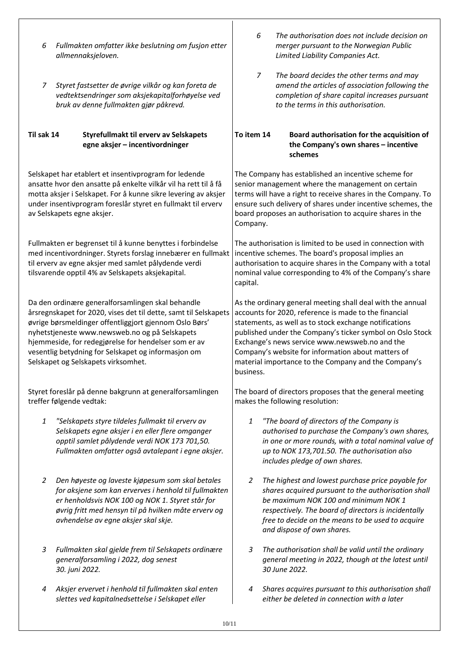- *6 Fullmakten omfatter ikke beslutning om fusjon etter allmennaksjeloven.*
- *7 Styret fastsetter de øvrige vilkår og kan foreta de vedtektsendringer som aksjekapitalforhøyelse ved bruk av denne fullmakten gjør påkrevd.*

## **Til sak 14 Styrefullmakt til erverv av Selskapets egne aksjer – incentivordninger**

Selskapet har etablert et insentivprogram for ledende ansatte hvor den ansatte på enkelte vilkår vil ha rett til å få motta aksjer i Selskapet. For å kunne sikre levering av aksjer under insentivprogram foreslår styret en fullmakt til erverv av Selskapets egne aksjer.

Fullmakten er begrenset til å kunne benyttes i forbindelse med incentivordninger. Styrets forslag innebærer en fullmakt til erverv av egne aksjer med samlet pålydende verdi tilsvarende opptil 4% av Selskapets aksjekapital.

Da den ordinære generalforsamlingen skal behandle årsregnskapet for 2020, vises det til dette, samt til Selskapets øvrige børsmeldinger offentliggjort gjennom Oslo Børs' nyhetstjeneste www.newsweb.no og på Selskapets hjemmeside, for redegjørelse for hendelser som er av vesentlig betydning for Selskapet og informasjon om Selskapet og Selskapets virksomhet.

Styret foreslår på denne bakgrunn at generalforsamlingen treffer følgende vedtak:

- *1 "Selskapets styre tildeles fullmakt til erverv av Selskapets egne aksjer i en eller flere omganger opptil samlet pålydende verdi NOK 173 701,50. Fullmakten omfatter også avtalepant i egne aksjer.*
- *2 Den høyeste og laveste kjøpesum som skal betales for aksjene som kan erverves i henhold til fullmakten er henholdsvis NOK 100 og NOK 1. Styret står for øvrig fritt med hensyn til på hvilken måte erverv og avhendelse av egne aksjer skal skje.*
- *3 Fullmakten skal gjelde frem til Selskapets ordinære generalforsamling i 2022, dog senest 30. juni 2022.*
- *4 Aksjer ervervet i henhold til fullmakten skal enten slettes ved kapitalnedsettelse i Selskapet eller*
- *6 The authorisation does not include decision on merger pursuant to the Norwegian Public Limited Liability Companies Act.*
- *7 The board decides the other terms and may amend the articles of association following the completion of share capital increases pursuant to the terms in this authorisation.*

# **To item 14 Board authorisation for the acquisition of the Company's own shares – incentive schemes**

The Company has established an incentive scheme for senior management where the management on certain terms will have a right to receive shares in the Company. To ensure such delivery of shares under incentive schemes, the board proposes an authorisation to acquire shares in the Company.

The authorisation is limited to be used in connection with incentive schemes. The board's proposal implies an authorisation to acquire shares in the Company with a total nominal value corresponding to 4% of the Company's share capital.

As the ordinary general meeting shall deal with the annual accounts for 2020, reference is made to the financial statements, as well as to stock exchange notifications published under the Company's ticker symbol on Oslo Stock Exchange's news service www.newsweb.no and the Company's website for information about matters of material importance to the Company and the Company's business.

The board of directors proposes that the general meeting makes the following resolution:

- *1 "The board of directors of the Company is authorised to purchase the Company's own shares, in one or more rounds, with a total nominal value of up to NOK 173,701.50. The authorisation also includes pledge of own shares.*
- *2 The highest and lowest purchase price payable for shares acquired pursuant to the authorisation shall be maximum NOK 100 and minimum NOK 1 respectively. The board of directors is incidentally free to decide on the means to be used to acquire and dispose of own shares.*
- *3 The authorisation shall be valid until the ordinary general meeting in 2022, though at the latest until 30 June 2022.*
- *4 Shares acquires pursuant to this authorisation shall either be deleted in connection with a later*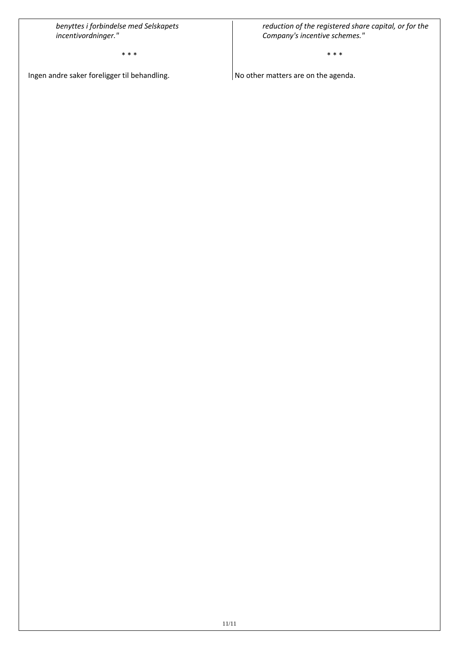*benyttes i forbindelse med Selskapets incentivordninger."*

\* \* \*

Ingen andre saker foreligger til behandling.

*reduction of the registered share capital, or for the Company's incentive schemes."*

\* \* \*

No other matters are on the agenda.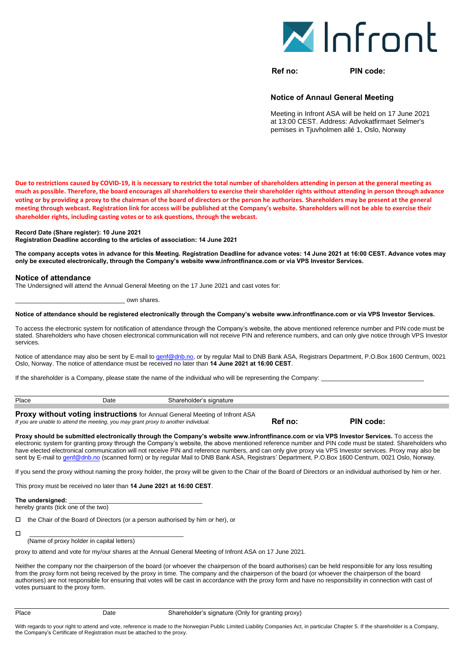

**Ref no: PIN code:**

#### **Notice of Annaul General Meeting**

**Ref no: PIN code:**

Meeting in Infront ASA will be held on 17 June 2021 at 13:00 CEST. Address: Advokatfirmaet Selmer's pemises in Tjuvholmen allé 1, Oslo, Norway

**Due to restrictions caused by COVID-19, it is necessary to restrict the total number of shareholders attending in person at the general meeting as much as possible. Therefore, the board encourages all shareholders to exercise their shareholder rights without attending in person through advance voting or by providing a proxy to the chairman of the board of directors or the person he authorizes. Shareholders may be present at the general meeting through webcast. Registration link for access will be published at the Company's website. Shareholders will not be able to exercise their shareholder rights, including casting votes or to ask questions, through the webcast.** 

**Record Date (Share register): 10 June 2021** 

**Registration Deadline according to the articles of association: 14 June 2021** 

**The company accepts votes in advance for this Meeting. Registration Deadline for advance votes: 14 June 2021 at 16:00 CEST. Advance votes may only be executed electronically, through the Company's website www.infrontfinance.com or via VPS Investor Services.**

#### **Notice of attendance**

The Undersigned will attend the Annual General Meeting on the 17 June 2021 and cast votes for:

own shares.

#### **Notice of attendance should be registered electronically through the Company's website www.infrontfinance.com or via VPS Investor Services.**

To access the electronic system for notification of attendance through the Company's website, the above mentioned reference number and PIN code must be stated. Shareholders who have chosen electronical communication will not receive PIN and reference numbers, and can only give notice through VPS Investor services.

Notice of attendance may also be sent by E-mail to [genf@dnb.no,](mailto:genf@dnb.no) or by regular Mail to DNB Bank ASA, Registrars Department, P.O.Box 1600 Centrum, 0021 Oslo, Norway. The notice of attendance must be received no later than **14 June 2021 at 16:00 CEST**.

If the shareholder is a Company, please state the name of the individual who will be representing the Company:

| Place | Date                                                                                                           | Shareholder's signature                                              |
|-------|----------------------------------------------------------------------------------------------------------------|----------------------------------------------------------------------|
|       | . Dans an an aithe santan a tha air an air an a-chan air an a-chan air an a-chan air an a-chan air an a-chan a | $\sim$ $\sim$ $\sim$<br>.<br>$\overline{\phantom{a}}$<br>.<br>$\sim$ |

**Proxy without voting instructions** for Annual General Meeting of Infront ASA *If you are unable to attend the meeting, you may grant proxy to another individual.* 

**Proxy should be submitted electronically through the Company's website www.infrontfinance.com or via VPS Investor Services.** To access the electronic system for granting proxy through the Company's website, the above mentioned reference number and PIN code must be stated. Shareholders who have elected electronical communication will not receive PIN and reference numbers, and can only give proxy via VPS Investor services. Proxy may also be sent by E-mail to [genf@dnb.no](mailto:genf@dnb.no) (scanned form) or by regular Mail to DNB Bank ASA, Registrars' Department, P.O.Box 1600 Centrum, 0021 Oslo, Norway.

If you send the proxy without naming the proxy holder, the proxy will be given to the Chair of the Board of Directors or an individual authorised by him or her.

This proxy must be received no later than **14 June 2021 at 16:00 CEST**.

The undersigned:

hereby grants (tick one of the two)

 $\Box$  the Chair of the Board of Directors (or a person authorised by him or her), or

\_\_\_\_\_\_\_\_\_\_\_\_\_\_\_\_\_\_\_\_\_\_\_\_\_\_\_\_\_\_\_\_\_\_\_\_\_\_\_\_\_\_\_\_\_

(Name of proxy holder in capital letters)

proxy to attend and vote for my/our shares at the Annual General Meeting of Infront ASA on 17 June 2021.

Neither the company nor the chairperson of the board (or whoever the chairperson of the board authorises) can be held responsible for any loss resulting from the proxy form not being received by the proxy in time. The company and the chairperson of the board (or whoever the chairperson of the board authorises) are not responsible for ensuring that votes will be cast in accordance with the proxy form and have no responsibility in connection with cast of votes pursuant to the proxy form.

With regards to your right to attend and vote, reference is made to the Norwegian Public Limited Liability Companies Act, in particular Chapter 5. If the shareholder is a Company, the Company's Certificate of Registration must be attached to the proxy.